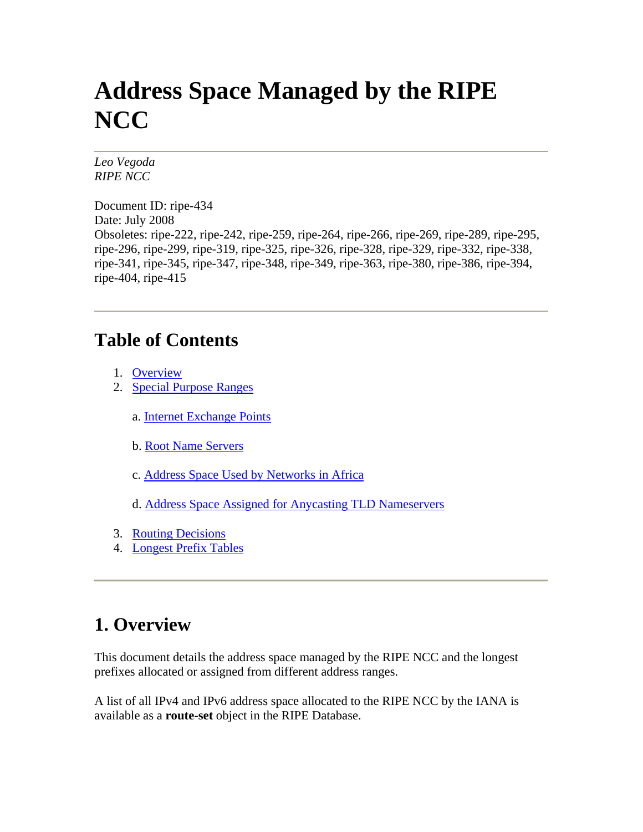# <span id="page-0-0"></span>**Address Space Managed by the RIPE NCC**

*Leo Vegoda RIPE NCC* 

Document ID: ripe-434 Date: July 2008 Obsoletes: ripe-222, ripe-242, ripe-259, ripe-264, ripe-266, ripe-269, ripe-289, ripe-295, ripe-296, ripe-299, ripe-319, ripe-325, ripe-326, ripe-328, ripe-329, ripe-332, ripe-338, ripe-341, ripe-345, ripe-347, ripe-348, ripe-349, ripe-363, ripe-380, ripe-386, ripe-394, ripe-404, ripe-415

### **Table of Contents**

- 1. [Overview](#page-0-0)
- 2. [Special Purpose Ranges](#page-1-0)
	- a. [Internet Exchange Points](#page-1-0)
	- b. [Root Name Servers](#page-1-0)
	- c. [Address Space Used by Networks in Africa](#page-1-0)
	- d. [Address Space Assigned for Anycasting TLD Nameservers](#page-2-0)
- 3. [Routing Decisions](#page-2-0)
- 4. [Longest Prefix Tables](#page-2-0)

# **1. Overview**

This document details the address space managed by the RIPE NCC and the longest prefixes allocated or assigned from different address ranges.

A list of all IPv4 and IPv6 address space allocated to the RIPE NCC by the IANA is available as a **route-set** object in the RIPE Database.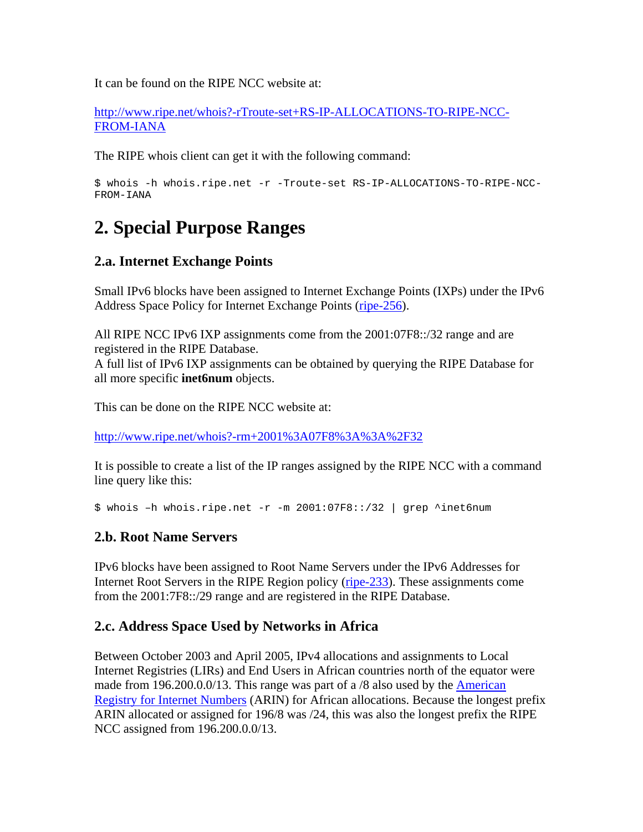<span id="page-1-0"></span>It can be found on the RIPE NCC website at:

[http://www.ripe.net/whois?-rTroute-set+RS-IP-ALLOCATIONS-TO-RIPE-NCC-](http://www.ripe.net/whois?-rTroute-set%2BRS-IP-ALLOCATIONS-TO-RIPE-NCC-FROM-IANA)[FROM-IANA](http://www.ripe.net/whois?-rTroute-set%2BRS-IP-ALLOCATIONS-TO-RIPE-NCC-FROM-IANA)

The RIPE whois client can get it with the following command:

```
$ whois -h whois.ripe.net -r -Troute-set RS-IP-ALLOCATIONS-TO-RIPE-NCC-
FROM-IANA
```
# **2. Special Purpose Ranges**

#### **2.a. Internet Exchange Points**

Small IPv6 blocks have been assigned to Internet Exchange Points (IXPs) under the IPv6 Address Space Policy for Internet Exchange Points (ripe-256).

All RIPE NCC IPv6 IXP assignments come from the 2001:07F8::/32 range and are registered in the RIPE Database.

A full list of IPv6 IXP assignments can be obtained by querying the RIPE Database for all more specific **inet6num** objects.

This can be done on the RIPE NCC website at:

[http://www.ripe.net/whois?-rm+2001%3A07F8%3A%3A%2F32](http://www.ripe.net/whois?-rm%2B2001%3A07F8%3A%3A%2F32)

It is possible to create a list of the IP ranges assigned by the RIPE NCC with a command line query like this:

\$ whois –h whois.ripe.net -r -m 2001:07F8::/32 | grep ^inet6num

#### **2.b. Root Name Servers**

IPv6 blocks have been assigned to Root Name Servers under the IPv6 Addresses for Internet Root Servers in the RIPE Region policy (ripe-233). These assignments come from the 2001:7F8::/29 range and are registered in the RIPE Database.

#### **2.c. Address Space Used by Networks in Africa**

Between October 2003 and April 2005, IPv4 allocations and assignments to Local Internet Registries (LIRs) and End Users in African countries north of the equator were made from 196.200.0.0/13. This range was part of a /8 also used by the **American** [Registry for Internet Numbers](http://www.arin.net/) (ARIN) for African allocations. Because the longest prefix ARIN allocated or assigned for 196/8 was /24, this was also the longest prefix the RIPE NCC assigned from 196.200.0.0/13.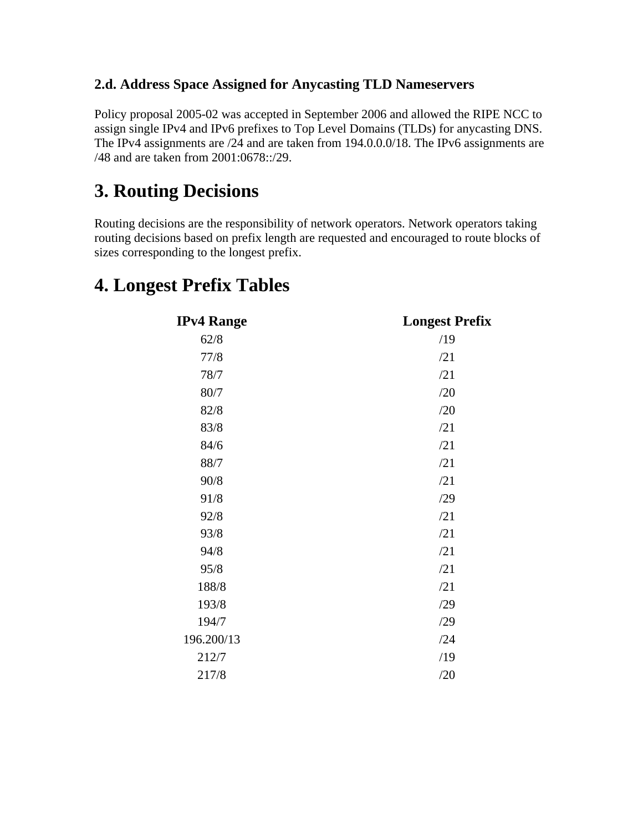#### <span id="page-2-0"></span>**2.d. Address Space Assigned for Anycasting TLD Nameservers**

Policy proposal 2005-02 was accepted in September 2006 and allowed the RIPE NCC to assign single IPv4 and IPv6 prefixes to Top Level Domains (TLDs) for anycasting DNS. The IPv4 assignments are /24 and are taken from 194.0.0.0/18. The IPv6 assignments are /48 and are taken from 2001:0678::/29.

## **3. Routing Decisions**

Routing decisions are the responsibility of network operators. Network operators taking routing decisions based on prefix length are requested and encouraged to route blocks of sizes corresponding to the longest prefix.

| <b>IPv4 Range</b> | <b>Longest Prefix</b> |
|-------------------|-----------------------|
| 62/8              | /19                   |
| 77/8              | /21                   |
| 78/7              | /21                   |
| 80/7              | /20                   |
| 82/8              | /20                   |
| 83/8              | /21                   |
| 84/6              | /21                   |
| 88/7              | /21                   |
| 90/8              | /21                   |
| 91/8              | /29                   |
| 92/8              | /21                   |
| 93/8              | /21                   |
| 94/8              | /21                   |
| 95/8              | /21                   |
| 188/8             | /21                   |
| 193/8             | /29                   |
| 194/7             | /29                   |
| 196.200/13        | /24                   |
| 212/7             | /19                   |
| 217/8             | /20                   |

### **4. Longest Prefix Tables**